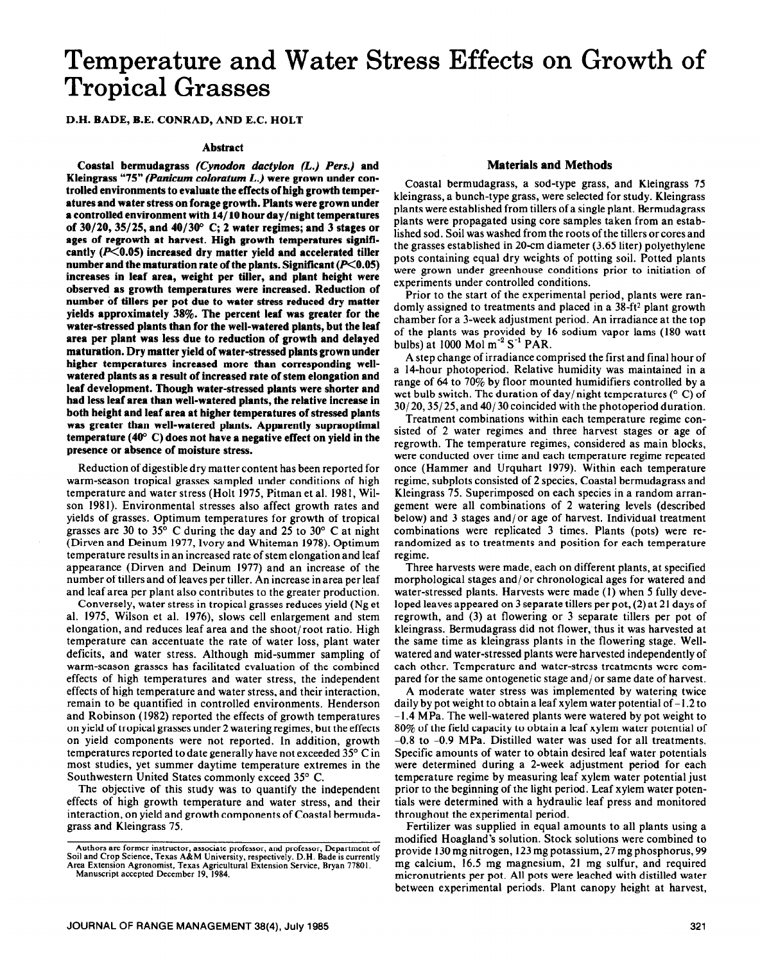# **Temperature and Water Stress Effects on Growth of Tropical Grasses**

D.H. BADE, B.E. CONRAD, AND E.C. HOLT

#### **Abstract**

**Coastal bermudagrass** *(Cynodon dactylon (L.) Pers.)* **and Kleingrass "75"** *(Panicum coloratum L.) were* **grown under controlled environments to evaluate the effects of high growth temperaturesand water stress on forage growth. Plants were grown under a controlled environment with 14/10 hour day/night temperatures of 30/20,35/25, and 40/3W C; 2 water regimes; and 3 stages or ages of regrowth at harvest. High growth temperatures signifi**cantly (P<0.05) increased dry matter yield and accelerated tiller number and the maturation rate of the plants. Significant  $(P<0.05)$ **increases in leaf area, weight per tiller, and plant height were observed as growth temperatures were increased. Reduction of number of tillers per pot due to water stress reduced dry matter**  yields approximately 38%. The percent leaf was greater for the **water-stressed plants than for the well-watered plants, but the leaf area per plant was less due to reduction of growth and delayed maturation. Dry matter yield of water-stressed plants grown under higher temperatures increased more than corresponding wellwatered plants as a result of increased rate of stem elongation and leaf development. Though water-stressed plants were shorter and had less leaf area than well-watered plants, the relative increase in both height and leaf area at higher temperatures of stressed plants was greater than well-watered plants. Apparently supraoptimal temperature (400 C) does not have a negative effect on yield in the presence or absence of moisture stress.** 

Reduction of digestible dry matter content has been reported for warm-season tropical grasses sampled under conditions of high temperature and water stress (Holt 1975, Pitman et al. 1981, Wilson 1981). Environmental stresses also affect growth rates and yields of grasses. Optimum temperatures for growth of tropical grasses are 30 to 35 $^{\circ}$  C during the day and 25 to 30 $^{\circ}$  C at night (Dirven and Deinum 1977, Ivory and Whiteman 1978). Optimum temperature results in an increased rate of stem elongation and leaf appearance (Dirven and Deinum 1977) and an increase of the number of tillers and of leaves per tiller. An increase in area per leaf and leaf area per plant also contributes to the greater production.

Conversely, water stress in tropical grasses reduces yield (Ng et al. 1975, Wilson et al. 1976), slows cell enlargement and stem elongation, and reduces leaf area and the shoot/ root ratio. High temperature can accentuate the rate of water loss, plant water deficits, and water stress. Although mid-summer sampling of warm-season grasses has facilitated evaluation of the combined effects of high temperatures and water stress, the independent effects of high temperature and water stress, and their interaction, remain to be quantified in controlled environments. Henderson and Robinson (1982) reported the effects of growth temperatures on yield of tropical grasses under 2 watering regimes, but the effects on yield components were not reported. In addition, growth temperatures reported to date generally have not exceeded 35° C in most studies, yet summer daytime temperature extremes in the Southwestern United States commonly exceed 35° C.

The objective of this study was to quantify the independent effects of high growth temperature and water stress, and their interaction, on yield and growth components of Coastal bermudagrass and Kleingrass 75.

#### Manuscript accepted December 19, 1984.

#### **Materials and Methods**

Coastal bermudagrass, a sod-type grass, and Kleingrass 75 kleingrass, a bunch-type grass, were selected for study. Kleingrass plants were established from tillers of a single plant. Bermudagrass plants were propagated using core samples taken from an established sod. Soil was washed from the roots of the tillers or cores and the grasses established in 20-cm diameter (3.65 liter) polyethylene pots containing equal dry weights of potting soil. Potted plants were grown under greenhouse conditions prior to initiation of experiments under controlled conditions.

Prior to the start of the experimental period, plants were randomly assigned to treatments and placed in a 38-ft<sup>2</sup> plant growth chamber for a 3-week adjustment period. An irradiance at the top of the plants was provided by 16 sodium vapor lams (180 watt bulbs) at 1000 Mol  $m^{-2}$  S<sup>-1</sup> PAR.

A step change of irradiance comprised the first and final hour of a 14-hour photoperiod. Relative humidity was maintained in a range of 64 to 70% by floor mounted humidifiers controlled by a wet bulb switch. The duration of day/night temperatures ( $\degree$  C) of 30/ 20,35/ 25, and 40/ 30 coincided with the photoperiod duration.

Treatment combinations within each temperature regime consisted of 2 water regimes and three harvest stages or age of regrowth. The temperature regimes, considered as main blocks, were conducted over time and each temperature regime repeated once (Hammer and Urquhart 1979). Within each temperature regime, subplots consisted of 2 species, Coastal bermudagrass and Kleingrass 75. Superimposed on each species in a random arrangement were all combinations of 2 watering levels (described below) and 3 stages and/or age of harvest. Individual treatment combinations were replicated 3 times. Plants (pots) were rerandomized as to treatments and position for each temperature regime.

Three harvests were made, each on different plants, at specified morphological stages and/or chronological ages for watered and water-stressed plants. Harvests were made (1) when 5 fully developed leaves appeared on 3 separate tillers per pot, (2) at 21 days of regrowth, and (3) at flowering or 3 separate tillers per pot of kleingrass. Bermudagrass did not flower, thus it was harvested at the same time as kleingrass plants in the flowering stage. Wellwatered and water-stressed plants were harvested independently of each other. Temperature and water-stress treatments were compared for the same ontogenetic stage and/ or same date of harvest.

A moderate water stress was implemented by watering twice daily by pot weight to obtain a leaf xylem water potential of  $-1.2$  to - 1.4 MPa. The well-watered plants were watered by pot weight to 80% of the field capacity to obtain a leaf xylem water potential of -0.8 to -0.9 MPa. Distilled water was used for all treatments. Specific amounts of water to obtain desired leaf water potentials were determined during a 2-week adjustment period for each temperature regime by measuring leaf xylem water potential just prior to the beginning of the light period. Leaf xylem water potentials were determined with a hydraulic leaf press and monitored throughout the experimental period.

Fertilizer was supplied in equal amounts to all plants using a modified Hoagland's solution. Stock solutions were combined to provide 130 mg nitrogen, 123 mg potassium, 27 mg phosphorus, 99 mg calcium, 16.5 mg magnesium, 21 mg sulfur, and required micronutrients per pot. All pots were leached with distilled water between experimental periods. Plant canopy height at harvest,

Authors are former instructor, associate professor, and professor, Department of Soil and Crop Science, Texas A&M University, respectively. D.H. Bade is currently Area Extension Agronomist, Texas Agricultural Extension Service, Bryan 77801.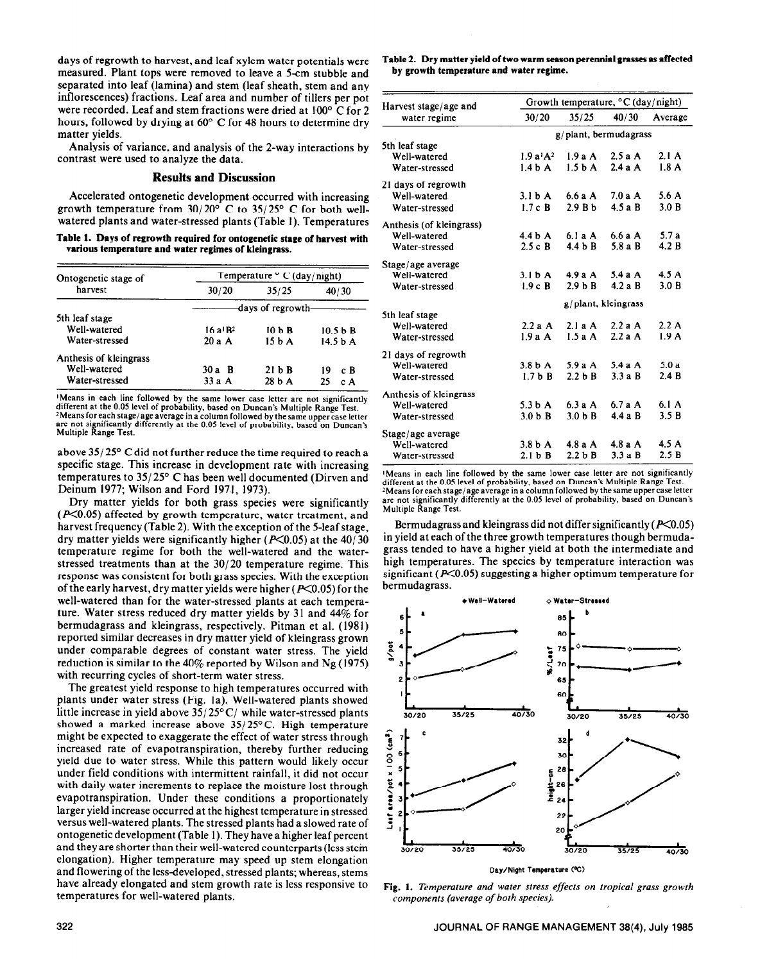days of regrowth to harvest, and leaf xylem water potentials were measured. Plant tops were removed to leave a 5-cm stubble and separated into leaf (lamina) and stem (leaf sheath, stem and any inflorescences) fractions. Leaf area and number of tillers per pot were recorded. Leaf and stem fractions were dried at 100° C for 2 hours, followed by drying at 60° C for 48 hours to determine dry matter yields.

Analysis of variance, and analysis of the 2-way interactions by contrast were used to analyze the data.

#### **Results and Discussion**

Accelerated ontogenetic development occurred with increasing growth temperature from  $30/20^{\circ}$  C to  $35/25^{\circ}$  C for both wellwatered plants and water-stressed plants (Table 1). Temperatures

**Table 1. Days of regrowth required for ontogenetic stage of harvest with various temperature and water regimes of kleingrass.** 

| Ontogenetic stage of<br>harvest | Temperature $\circ$ C (day/night) |         |                     |  |
|---------------------------------|-----------------------------------|---------|---------------------|--|
|                                 | 30/20                             | 35/25   | 40/30               |  |
|                                 | -days of regrowth-                |         |                     |  |
| 5th leaf stage                  |                                   |         |                     |  |
| Well-watered                    | $16a$ <sup>1</sup> $R2$           | $10b$ R | $10.5b$ R           |  |
| Water-stressed                  | 20aA                              | $15b$ A | 14.5 <sub>b</sub> A |  |
| Anthesis of kleingrass          |                                   |         |                     |  |
| Well-watered                    | 30 a B                            | 21 b B  | сB<br>19            |  |
| Water-stressed                  | $33a$ A                           | 28 b A  | 25<br>c A           |  |

**'Means in each line followed by the same lower case letter are not significantly different at the 0.05 level of probability. based on Duncan's Multiple Range Test.**  <sup>2</sup> Means for each stage/age average in a column followed by the same upper case letter<br>are not significantly differently at the 0.05 level of probability, based on Duncan's **Multiple R ange Test.** 

above 35/ 25" C did not further reduce the time required to reach a specific stage. This increase in development rate with increasing temperatures to 35/ 25" C has been well documented (Dirven and Deinum 1977; Wilson and Ford 1971, 1973).

Dry matter yields for both grass species were significantly  $(P<0.05)$  affected by growth temperature, water treatment, and harvest frequency (Table 2). With the exception of the 5-leaf stage, dry matter yields were significantly higher ( $P<0.05$ ) at the 40/30 temperature regime for both the well-watered and the waterstressed treatments than at the 30/20 temperature regime. This response was consistent for both grass species. With the exception of the early harvest, dry matter yields were higher ( $P<0.05$ ) for the well-watered than for the water-stressed plants at each temperature. Water stress reduced dry matter yields by 31 and **44%** for bermudagrass and kleingrass, respectively. Pitman et al. (198 1) reported similar decreases in dry matter yield of kleingrass grown under comparable degrees of constant water stress. The yield reduction is similar to the 40% reported by Wilson and Ng (1975) with recurring cycles of short-term water stress.

The greatest yield response to high temperatures occurred with plants under water stress (Fig. la). Well-watered plants showed little increase in yield above  $35/25^{\circ}$ C/ while water-stressed plants showed a marked increase above  $35/25^{\circ}$ C. High temperature might be expected to exaggerate the effect of water stress through increased rate of evapotranspiration, thereby further reducing yield due to water stress. While this pattern would likely occur under field conditions with intermittent rainfall, it did not occur with daily water increments to replace the moisture lost through evapotranspiration. Under these conditions a proportionately larger yield increase occurred at the highest temperature in stressed versus well-watered plants. The stressed plants had a slowed rate of ontogenetic development (Table 1). They have a higher leaf percent and they are shorter than their well-watered counterparts (less stem elongation). Higher temperature may speed up stem elongation and flowering of the less-developed, stressed plants; whereas, stems have already elongated and stem growth rate is less responsive to temperatures for well-watered plants.

**Table 2. Dry matter yield of two warm season perennial grasses as affected by growth temperature and water regime.** 

| Harvest stage/age and<br>water regime | Growth temperature, $\mathrm{C}$ (day/night) |                    |          |         |
|---------------------------------------|----------------------------------------------|--------------------|----------|---------|
|                                       | 30/20                                        | 35/25              | 40/30    | Average |
|                                       | g/plant, bermudagrass                        |                    |          |         |
| 5th leaf stage                        |                                              |                    |          |         |
| Well-watered                          | 1.9a <sup>1</sup> A <sup>2</sup>             | 1.9aA              | 2.5aA    | 2.1A    |
| Water-stressed                        | 1.4 <sub>b</sub> A                           | 1.5 <sub>b</sub> A | 2.4aA    | 1.8A    |
| 21 days of regrowth                   |                                              |                    |          |         |
| Well-watered                          | 3.1 <sub>b</sub> A                           | 6.6 a A            | 7.0aA    | 5.6 A   |
| Water-stressed                        | 1.7cB                                        | 2.9Bh              | 4.5aB    | 3.0 B   |
| Anthesis (of kleingrass)              |                                              |                    |          |         |
| Well-watered                          | 4.4 <sub>b</sub> A                           | 6.1aA              | 6.6aA    | 5.7 a   |
| Water-stressed                        | 2.5cB                                        | 4.4 b B            | 5.8 a B  | 4.2 B   |
| Stage/age average                     |                                              |                    |          |         |
| Well-watered                          | 3.1 <sub>b</sub> A                           | 4.9aA              | 5.4aA    | 4.5A    |
| Water-stressed                        | 1.9cB                                        | $2.9b$ B           | $4.2a$ B | 3.0 B   |
|                                       | g/plant, kleingrass                          |                    |          |         |
| 5th leaf stage                        |                                              |                    |          |         |
| Well-watered                          | $2.2a$ A                                     | 2.1aA              | 2.2aA    | 2.2A    |
| Water-stressed                        | 1.9aA                                        | 1.5aA              | 2.2aA    | 1.9A    |
| 21 days of regrowth                   |                                              |                    |          |         |
| Well-watered                          | 3.8 <sub>b</sub> A                           | 5.9aA              | 5.4aA    | 5.0a    |
| Water-stressed                        | $1.7b$ B                                     | $2.2b$ B           | 3.3aB    | 2.4B    |
| Anthesis of kleingrass                |                                              |                    |          |         |
| Well-watered                          | 5.3 <sub>b</sub> A                           | 6.3aA              | 6.7aA    | 6.1A    |
| Water-stressed                        | $3.0b$ B                                     | $3.0b$ B           | 4.4 a B  | 3.5B    |
| Stage/age average                     |                                              |                    |          |         |
| Well-watered                          | $3.8b$ A                                     | 4.8aA              | 4.8aA    | 4.5A    |
| Water-stressed                        | $2.1b$ B                                     | $2.2b$ B           | 3.3aB    | 2.5B    |

**'Means in each line followed by the same lower case letter are not significantly different at the 0.05 level of probability, based on Duncan's Multiple Range Test. "Meansforeach stage/ageaverage ina column followed by thesame uppercase letter are not significantly differently at the 0.05 level of probability, based on Duncan's Multiple Range Test.** 

Bermudagrass and kleingrass did not differ significantly  $(P<0.05)$ in yield at each of the three growth temperatures though bermudagrass tended to have a higher yield at both the intermediate and high temperatures. The species by temperature interaction was significant ( $P<0.05$ ) suggesting a higher optimum temperature for bermudagrass.



**Fig. 1.** *Temperature and water stress effects on tropical grass growth components (average of both species).*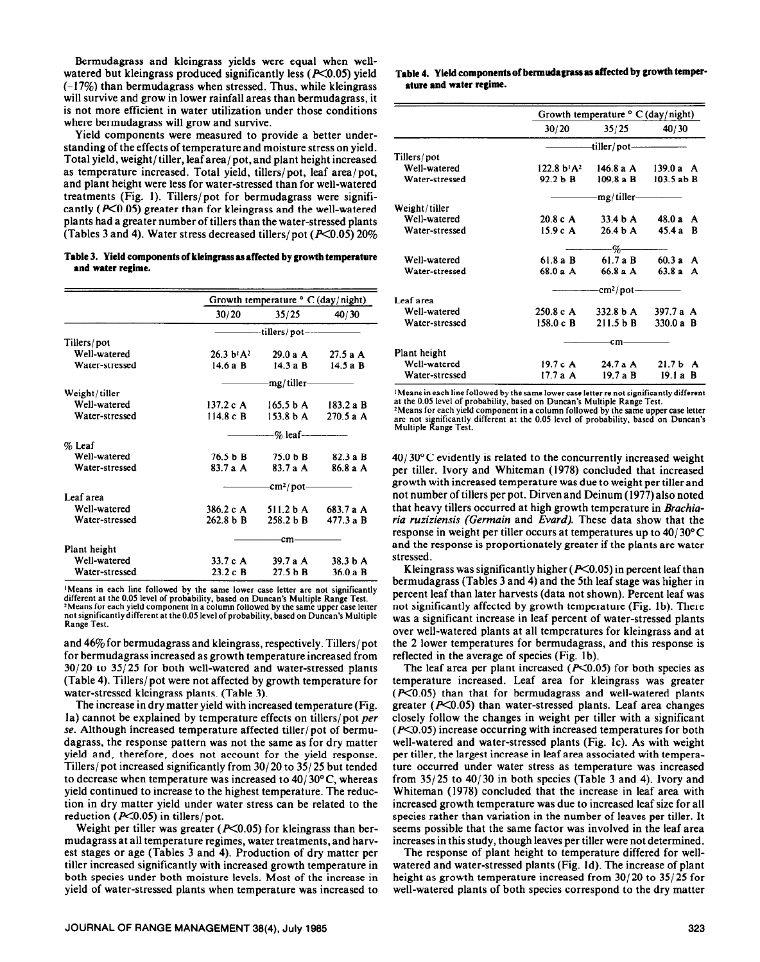Bermudagrass and kleingrass yields were equal when wellwatered but kleingrass produced significantly less ( $P<0.05$ ) yield  $(-17%)$  than bermudagrass when stressed. Thus, while kleingrass will survive and grow in lower rainfall areas than bermudagrass, it is not more efficient in water utilization under those conditions where bermudagrass will grow and survive.

Yield components were measured to provide a better understanding of the effects of temperature and moisture stress on yield. Total yield, weight/ tiller, leaf area/ pot, and plant height increased as temperature increased. Total yield, tillers/pot, leaf area/pot, and plant height were less for water-stressed than for well-watered treatments (Fig. 1). Tillers/pot for bermudagrass were significantly ( $P<0.05$ ) greater than for kleingrass and the well-watered plants had a greater number of tillers than the water-stressed plants (Tables 3 and 4). Water stress decreased tillers/pot ( $P<0.05$ ) 20%

**Table 3. Yield components of kleingrass as affected by growth temperature and water regime.** 

|                | Growth temperature $\circ$ C (day/night) |                      |            |  |
|----------------|------------------------------------------|----------------------|------------|--|
|                | 30/20                                    | 35/25                | 40/30      |  |
|                | -tillers/pot-                            |                      |            |  |
| Tillers/pot    |                                          |                      |            |  |
| Well-watered   | $26.3 b! A^2$                            | 29.0 a A             | 27.5aA     |  |
| Water-stressed | $14.6a$ B                                | 14.3a B              | $14.5a$ B  |  |
|                |                                          | mg/tiller-           |            |  |
| Weight/tiller  |                                          |                      |            |  |
| Well-watered   | 137.2cA                                  | 165.5 <sub>b</sub> A | 183.2 a B  |  |
| Water-stressed | $114.8c$ B                               | 153.8 <sub>b</sub> A | 270.5 a A  |  |
|                |                                          | $\%$ leaf-           |            |  |
| $%$ Leaf       |                                          |                      |            |  |
| Well-watered   | 76.5 b B                                 | 75.0 h B             | 82.3 a B   |  |
| Water-stressed | $83.7a$ A                                | $83.7a$ A            | 86.8 a A   |  |
|                |                                          | -cm²/pot-            |            |  |
| Leaf area      |                                          |                      |            |  |
| Well-watered   | 386.2 c A                                | $511.2b$ A           | 683.7 a A  |  |
| Water-stressed | 262.8 b B                                | 258.2 <sub>b</sub> B | $477.3a$ B |  |
|                |                                          | -cm                  |            |  |
| Plant height   |                                          |                      |            |  |
| Well-watered   | $33.7c$ A                                | 39.7aA               | $38.3b$ A  |  |
| Water-stressed | 23.2cB                                   | $27.5b$ B            | $36.0a$ B  |  |

**'Means in each line followed by the same lower case letter are not significantly different at the 0.05 level of probability, based on** Duncan's Multiple Range Test. 2Means **for each yield component in a column followed by the same upper case letter not significantlydifferent at the 0.05 level of probability, based on Duncan's Multiple Range Test.** 

and 46% for bermudagrass and kleingrass, respectively. Tillers/ pot for bermudagrass increased as growth temperature increased from 30/20 to 35/25 for both well-watered and water-stressed plants (Table 4). Tillers/ pot were not affected by growth temperature for water-stressed kleingrass plants. (Table 3).

The increase in dry matter yield with increased temperature (Fig. la) cannot be explained by temperature effects on tillers/ pot *per se.* Although increased temperature affected tiller/ pot of bermudagrass, the response pattern was not the same as for dry matter yield and, therefore, does not account for the yield response. Tillers/ pot increased significantly from 30/ 20 to 35/ 25 but tended to decrease when temperature was increased to  $40/30^{\circ}$ C, whereas yield continued to increase to the highest temperature. The reduction in dry matter yield under water stress can be related to the reduction ( $P<0.05$ ) in tillers/pot.

Weight per tiller was greater ( $P<0.05$ ) for kleingrass than bermudagrass at all temperature regimes, water treatments, and harvest stages or age (Tables 3 and 4). Production of dry matter per tiller increased significantly with increased growth temperature in both species under both moisture levels. Most of the increase in yield of water-stressed plants when temperature was increased to

### **Table 4. Yield components of bermudagrass as affected by growth temperature and water regime.**

|                | Growth temperature $\circ$ C (day/night) |                     |                        |
|----------------|------------------------------------------|---------------------|------------------------|
|                | 30/20                                    | 35/25               | 40/30                  |
|                |                                          | -tiller/pot-        |                        |
| Tillers/pot    |                                          |                     |                        |
| Well-watered   | $122.8 b! A^2$                           | 146.8 a A           | $139.0a$ A             |
| Water-stressed | $92.2b$ B                                | $109.8a$ B          | 103.5 ab B             |
|                |                                          | mg/tiller-          |                        |
| Weight/tiller  |                                          |                     |                        |
| Well-watered   | 20.8 c A                                 | 33.4 <sub>b</sub> A | 48.0 a<br>A            |
| Water-stressed | 15.9cA                                   | 26.4 <sub>b</sub> A | 45.4a<br>B             |
|                |                                          | -%-                 |                        |
| Well-watered   | $61.8a$ B                                | 61.7aB              | 60.3a<br>A             |
| Water-stressed | 68.0aA                                   | $66.8a$ A           | 63.8a<br>A             |
|                |                                          | -cm²/pot-           |                        |
| Leaf area      |                                          |                     |                        |
| Well-watered   | 250.8 c A                                | 332.8 b A           | 397.7 a $A$            |
| Water-stressed | $158.0c$ B                               | 211.5 b B           | $330.0 a$ B            |
|                |                                          | cm                  |                        |
| Plant height   |                                          |                     |                        |
| Well-watered   | 19.7 c $\bf{A}$                          | 24.7aA              | 21.7 <sub>b</sub><br>A |
| Water-stressed | 17.7aA                                   | 19.7aB              | 19.1 a B               |

**'Means in each line followed by the same lower case letter re not significantly different at the 0.05 level of probability, based on Duncan's Multiple Range Test.** 

**\*Means for each yield component in a column followed by the same upper case letter are not significantly different at the 0.05 level of probability, based on Duncan's Multiple Range Test.** 

 $40/30^{\circ}$ C evidently is related to the concurrently increased weight per tiller. Ivory and Whiteman (1978) concluded that increased growth with increased temperature was due to weight per tiller **and**  not number of tillers per pot. Dirven and Deinum (1977) also noted that heavy tillers occurred at high growth temperature in *Brachiaria ruziziensis (Germain and Evard).* These data show that the response in weight per tiller occurs at temperatures up to *40/ 30° C*  and the response is proportionately greater if the plants are water stressed.

Kleingrass was significantly higher ( $P<0.05$ ) in percent leaf than bermudagrass (Tables 3 and 4) and the 5th leaf stage was higher in percent leaf than later harvests (data not shown). Percent leaf was not significantly affected by growth temperature (Fig. lb). There was a significant increase in leaf percent of water-stressed plants over well-watered plants at all temperatures for kleingrass and at the 2 lower temperatures for bermudagrass, and this response is reflected in the average of species (Fig. lb).

The leaf area per plant increased  $(X<0.05)$  for both species as temperature increased. Leaf area for kleingrass was greater  $(F<0.05)$  than that for bermudagrass and well-watered plants greater ( $P<0.05$ ) than water-stressed plants. Leaf area changes closely follow the changes in weight per tiller with a significant  $(F<0.05)$  increase occurring with increased temperatures for both well-watered and water-stressed plants (Fig. Ic). As with weight per tiller, the largest increase in leaf area associated with temperature occurred under water stress as temperature was increased from  $35/25$  to  $40/30$  in both species (Table 3 and 4). Ivory and Whiteman (1978) concluded that the increase in leaf area with increased growth temperature was due to increased leaf size for all species rather than variation in the number of leaves per tiller. It seems possible that the same factor was involved in the leaf area increases in this study, though leaves per tiller were not determined.

The response of plant height to temperature differed for wellwatered and water-stressed plants (Fig. Id). The increase of plant height as growth temperature increased from 30/ 20 to 35/ 25 for well-watered plants of both species correspond to the dry matter